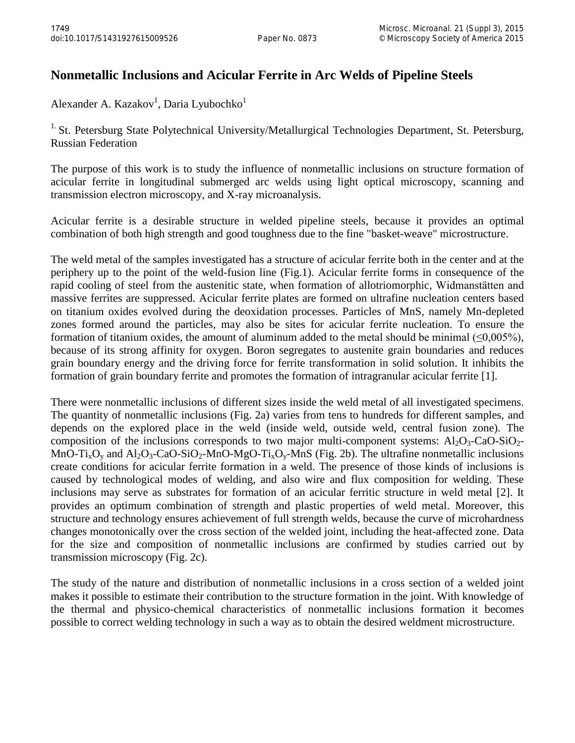## **Nonmetallic Inclusions and Acicular Ferrite in Arc Welds of Pipeline Steels**

Alexander A. Kazakov<sup>1</sup>, Daria Lyubochko<sup>1</sup>

<sup>1.</sup> St. Petersburg State Polytechnical University/Metallurgical Technologies Department, St. Petersburg, Russian Federation

The purpose of this work is to study the influence of nonmetallic inclusions on structure formation of acicular ferrite in longitudinal submerged arc welds using light optical microscopy, scanning and transmission electron microscopy, and X-ray microanalysis.

Acicular ferrite is a desirable structure in welded pipeline steels, because it provides an optimal combination of both high strength and good toughness due to the fine "basket-weave" microstructure.

The weld metal of the samples investigated has a structure of acicular ferrite both in the center and at the periphery up to the point of the weld-fusion line (Fig.1). Acicular ferrite forms in consequence of the rapid cooling of steel from the austenitic state, when formation of allotriomorphic, Widmanstätten and massive ferrites are suppressed. Acicular ferrite plates are formed on ultrafine nucleation centers based on titanium oxides evolved during the deoxidation processes. Particles of MnS, namely Mn-depleted zones formed around the particles, may also be sites for acicular ferrite nucleation. To ensure the formation of titanium oxides, the amount of aluminum added to the metal should be minimal  $(\leq 0.005\%)$ , because of its strong affinity for oxygen. Boron segregates to austenite grain boundaries and reduces grain boundary energy and the driving force for ferrite transformation in solid solution. It inhibits the formation of grain boundary ferrite and promotes the formation of intragranular acicular ferrite [1].

There were nonmetallic inclusions of different sizes inside the weld metal of all investigated specimens. The quantity of nonmetallic inclusions (Fig. 2a) varies from tens to hundreds for different samples, and depends on the explored place in the weld (inside weld, outside weld, central fusion zone). The composition of the inclusions corresponds to two major multi-component systems:  $Al_2O_3$ -CaO-SiO<sub>2</sub>-MnO-Ti<sub>x</sub>O<sub>y</sub> and Al<sub>2</sub>O<sub>3</sub>-CaO-SiO<sub>2</sub>-MnO-MgO-Ti<sub>x</sub>O<sub>y</sub>-MnS (Fig. 2b). The ultrafine nonmetallic inclusions create conditions for acicular ferrite formation in a weld. The presence of those kinds of inclusions is caused by technological modes of welding, and also wire and flux composition for welding. These inclusions may serve as substrates for formation of an acicular ferritic structure in weld metal [2]. It provides an optimum combination of strength and plastic properties of weld metal. Moreover, this structure and technology ensures achievement of full strength welds, because the curve of microhardness changes monotonically over the cross section of the welded joint, including the heat-affected zone. Data for the size and composition of nonmetallic inclusions are confirmed by studies carried out by transmission microscopy (Fig. 2c).

The study of the nature and distribution of nonmetallic inclusions in a cross section of a welded joint makes it possible to estimate their contribution to the structure formation in the joint. With knowledge of the thermal and physico-chemical characteristics of nonmetallic inclusions formation it becomes possible to correct welding technology in such a way as to obtain the desired weldment microstructure.